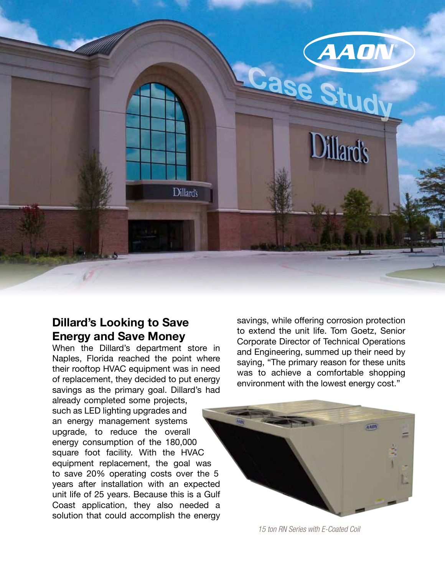

### **Dillard's Looking to Save Energy and Save Money**

When the Dillard's department store in Naples, Florida reached the point where their rooftop HVAC equipment was in need of replacement, they decided to put energy savings as the primary goal. Dillard's had already completed some projects, such as LED lighting upgrades and an energy management systems upgrade, to reduce the overall energy consumption of the 180,000 square foot facility. With the HVAC equipment replacement, the goal was to save 20% operating costs over the 5 years after installation with an expected unit life of 25 years. Because this is a Gulf Coast application, they also needed a solution that could accomplish the energy

savings, while offering corrosion protection to extend the unit life. Tom Goetz, Senior Corporate Director of Technical Operations and Engineering, summed up their need by saying, "The primary reason for these units was to achieve a comfortable shopping environment with the lowest energy cost."



*15 ton RN Series with E-Coated Coil*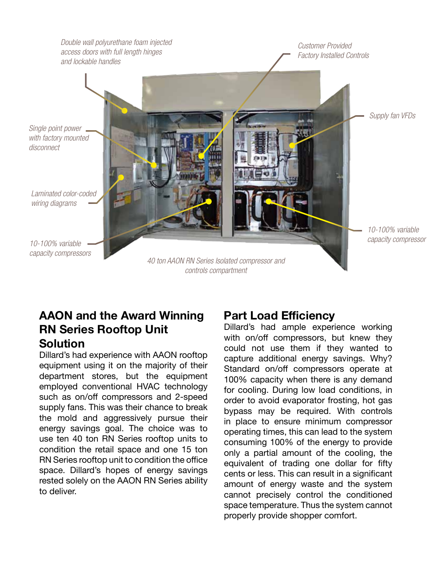

# **AAON and the Award Winning RN Series Rooftop Unit Solution**

Dillard's had experience with AAON rooftop equipment using it on the majority of their department stores, but the equipment employed conventional HVAC technology such as on/off compressors and 2-speed supply fans. This was their chance to break the mold and aggressively pursue their energy savings goal. The choice was to use ten 40 ton RN Series rooftop units to condition the retail space and one 15 ton RN Series rooftop unit to condition the office space. Dillard's hopes of energy savings rested solely on the AAON RN Series ability to deliver.

## **Part Load Efficiency**

Dillard's had ample experience working with on/off compressors, but knew they could not use them if they wanted to capture additional energy savings. Why? Standard on/off compressors operate at 100% capacity when there is any demand for cooling. During low load conditions, in order to avoid evaporator frosting, hot gas bypass may be required. With controls in place to ensure minimum compressor operating times, this can lead to the system consuming 100% of the energy to provide only a partial amount of the cooling, the equivalent of trading one dollar for fifty cents or less. This can result in a significant amount of energy waste and the system cannot precisely control the conditioned space temperature. Thus the system cannot properly provide shopper comfort.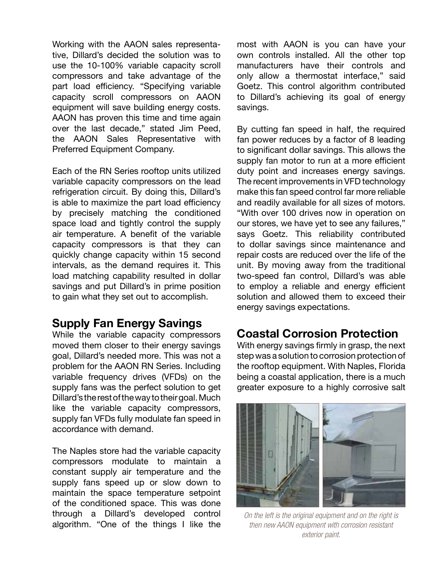Working with the AAON sales representative, Dillard's decided the solution was to use the 10-100% variable capacity scroll compressors and take advantage of the part load efficiency. "Specifying variable capacity scroll compressors on AAON equipment will save building energy costs. AAON has proven this time and time again over the last decade," stated Jim Peed, the AAON Sales Representative with Preferred Equipment Company.

Each of the RN Series rooftop units utilized variable capacity compressors on the lead refrigeration circuit. By doing this, Dillard's is able to maximize the part load efficiency by precisely matching the conditioned space load and tightly control the supply air temperature. A benefit of the variable capacity compressors is that they can quickly change capacity within 15 second intervals, as the demand requires it. This load matching capability resulted in dollar savings and put Dillard's in prime position to gain what they set out to accomplish.

#### **Supply Fan Energy Savings**

While the variable capacity compressors moved them closer to their energy savings goal, Dillard's needed more. This was not a problem for the AAON RN Series. Including variable frequency drives (VFDs) on the supply fans was the perfect solution to get Dillard's the rest of the way to their goal. Much like the variable capacity compressors, supply fan VFDs fully modulate fan speed in accordance with demand.

The Naples store had the variable capacity compressors modulate to maintain a constant supply air temperature and the supply fans speed up or slow down to maintain the space temperature setpoint of the conditioned space. This was done through a Dillard's developed control algorithm. "One of the things I like the most with AAON is you can have your own controls installed. All the other top manufacturers have their controls and only allow a thermostat interface," said Goetz. This control algorithm contributed to Dillard's achieving its goal of energy savings.

By cutting fan speed in half, the required fan power reduces by a factor of 8 leading to significant dollar savings. This allows the supply fan motor to run at a more efficient duty point and increases energy savings. The recent improvements in VFD technology make this fan speed control far more reliable and readily available for all sizes of motors. "With over 100 drives now in operation on our stores, we have yet to see any failures," says Goetz. This reliability contributed to dollar savings since maintenance and repair costs are reduced over the life of the unit. By moving away from the traditional two-speed fan control, Dillard's was able to employ a reliable and energy efficient solution and allowed them to exceed their energy savings expectations.

## **Coastal Corrosion Protection**

With energy savings firmly in grasp, the next step was a solution to corrosion protection of the rooftop equipment. With Naples, Florida being a coastal application, there is a much greater exposure to a highly corrosive salt



*On the left is the original equipment and on the right is then new AAON equipment with corrosion resistant exterior paint.*